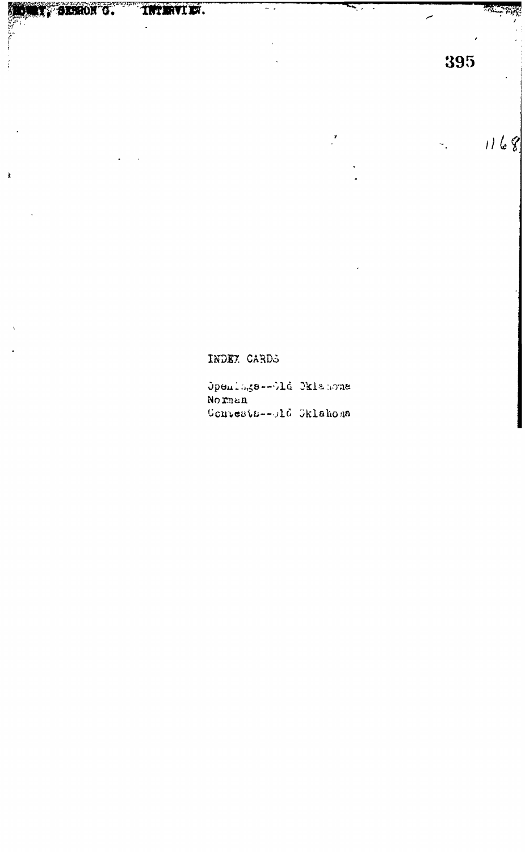Ì

 $\overline{\phantom{a}}$ .

 $1168$ 

 $\overline{a}$ 

INDEY CARDS

Openings--Old Oklahoma Norman Convests--old Oklahona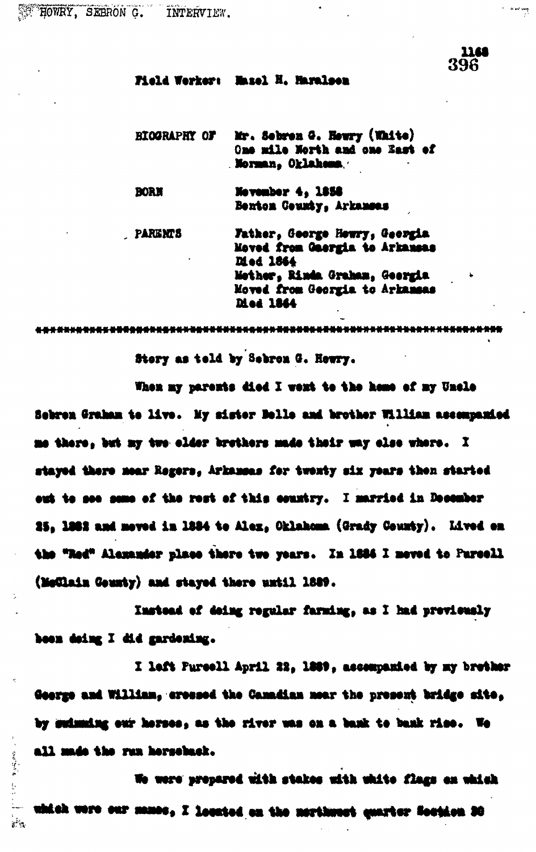1168 396

پښتون جوړې<br>د

## Field Werker: Maxel H. Haralsen

Mr. Sebren G. Hewry (White) **BIGGRAPHY OF** One mile North and one East of Norman, Oklahema.

**BORN** Mevember 4, 1858 Benton Ceumty, Arkansas

**PARENTS** Father, George Howry, Georgia Moved from Gaergia to Arkansas Died 1864 Mether, Rinda Graham, Georgia Moved from Georgia to Arkansas **Died 1864** 

Story as teld by Sebron G. Howry.

When my parents died I went to the home of my Uncle Sebren Graham te live. My sister Belle and brother William assempanied me there, but my two clder brethers made their way clse where. I stayed there mear Regers, Arkansas for twenty six years then started out to see some of the rest of this country. I married in December 25, 1882 and moved in 1884 to Alex, Oklahoma (Grady County). Lived en the "Red" Alexander place there two years. In 1884 I meved to Parcell (MoClain County) and stayed there until 1889.

Instead of deing regular farming, as I had previewaly been deing I did gardening.

I left Fureell April 22, 1889, assempanied by my brether George and William, crossed the Canadian near the present bridge site, by sudmuding our horses, as the river was on a bank to bank rise. We all made the run horseback.

We were propared with stakes with white flags on which which were our manes, I located on the nerthwest quarter Soution 30

 $\label{eq:3.1} \begin{array}{ll} \Psi_{\alpha}(\rho) = \frac{1}{2} \partial_{\alpha} \Psi_{\alpha}(\rho) \Psi_{\alpha}(\rho) \end{array}$ 

 $\frac{1}{2}$ 

 $\mathbb{R}^{\frac{1}{2}}$  by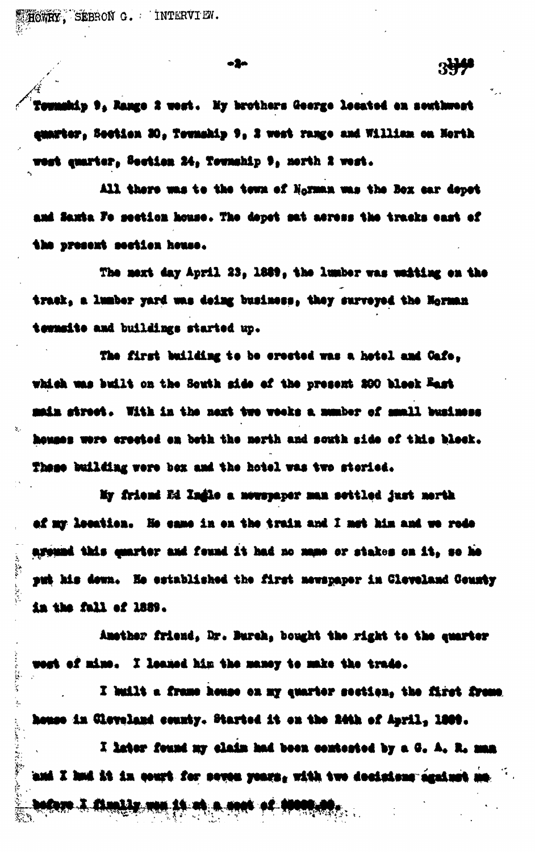HOWRY, SEBRON G. INTERVIEW.

Control of the Control

**North Channel** 

ķ.

· Content of Web Content of Content

o2n

Township 9, Range 2 west. My brothers George lecated on nowthwest eunrter, Soction 30, Township 9, 2 wort range and William on North rest quarter, Section 24, Township 9, north 2 west.

 $3 + 1$ 

All there was to the tewn of Norman was the Box car depot and Saxta Fo section house. The depet sat acress the tracks east of the present section house.

The mext day April 23, 1889, the lumber was weiting on the track, a lumber yard was deing business, they surveyed the Norman tewnsite and buildings started up.

The first building to be erected was a hotel and Gafe, which was built on the South side of the present 200 block East main street. With in the next two weeks a mumber of muall business houses were crected on both the nerth and south side of this block. These building vere bex and the hotel was two storied.

My friend Ed Ingle a nowspaper man sottled just north of my location. He came in on the train and I met him and we rode areund this quarter and feund it had no mane or stakes on it, so he put his down. He established the first newspaper in Cleveland County in the fall of 1889.

Amether friend. Dr. Burch, bought the right to the quarter megt of mine. I leamed him the maney to make the trade.

I huilt a frame house on my quarter section, the first frame house in Cloveland county. Started it on the 24th of April, 1989.

I later found my claim had been contested by a G. A. R. man and I had it in court for seven years, with two desisions against a **bodore 3. Chamble way in the a coat of those**  $\mathcal{L}$